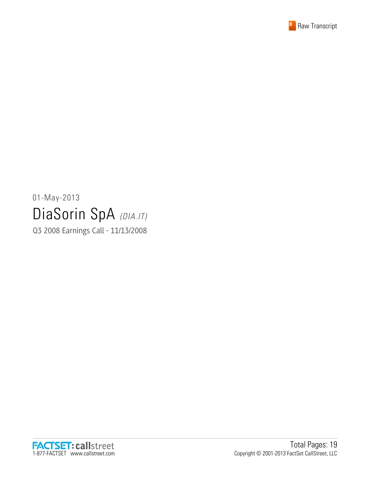

# 01-May-2013 DiaSorin SpA (DIA.IT)

Q3 2008 Earnings Call - 11/13/2008

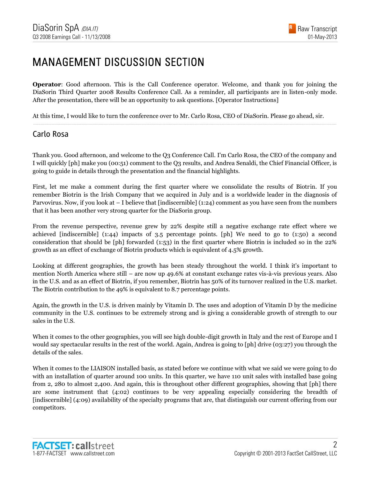#### MANAGEMENT DISCUSSION SECTION

**Operator:** Good afternoon. This is the Call Conference operator. Welcome, and thank you for joining the DiaSorin Third Quarter 2008 Results Conference Call. As a reminder, all participants are in listen-only mode. After the presentation, there will be an opportunity to ask questions. [Operator Instructions]

......................................................................................................................................................................................................................................................

At this time, I would like to turn the conference over to Mr. Carlo Rosa, CEO of DiaSorin. Please go ahead, sir.

#### Carlo Rosa

Thank you. Good afternoon, and welcome to the Q3 Conference Call. I'm Carlo Rosa, the CEO of the company and I will quickly [ph] make you (00:51) comment to the Q3 results, and Andrea Senaldi, the Chief Financial Officer, is going to guide in details through the presentation and the financial highlights.

First, let me make a comment during the first quarter where we consolidate the results of Biotrin. If you remember Biotrin is the Irish Company that we acquired in July and is a worldwide leader in the diagnosis of Parvovirus. Now, if you look at – I believe that [indiscernible] (1:24) comment as you have seen from the numbers that it has been another very strong quarter for the DiaSorin group.

From the revenue perspective, revenue grew by 22% despite still a negative exchange rate effect where we achieved [indiscernible] (1:44) impacts of 3.5 percentage points. [ph] We need to go to (1:50) a second consideration that should be [ph] forwarded (1:53) in the first quarter where Biotrin is included so in the 22% growth as an effect of exchange of Biotrin products which is equivalent of 4.5% growth.

Looking at different geographies, the growth has been steady throughout the world. I think it's important to mention North America where still – are now up 49.6% at constant exchange rates vis-à-vis previous years. Also in the U.S. and as an effect of Biotrin, if you remember, Biotrin has 50% of its turnover realized in the U.S. market. The Biotrin contribution to the 49% is equivalent to 8.7 percentage points.

Again, the growth in the U.S. is driven mainly by Vitamin D. The uses and adoption of Vitamin D by the medicine community in the U.S. continues to be extremely strong and is giving a considerable growth of strength to our sales in the U.S.

When it comes to the other geographies, you will see high double-digit growth in Italy and the rest of Europe and I would say spectacular results in the rest of the world. Again, Andrea is going to [ph] drive (03:27) you through the details of the sales.

When it comes to the LIAISON installed basis, as stated before we continue with what we said we were going to do with an installation of quarter around 100 units. In this quarter, we have 110 unit sales with installed base going from 2, 280 to almost 2,400. And again, this is throughout other different geographies, showing that [ph] there are some instrument that (4:02) continues to be very appealing especially considering the breadth of [indiscernible] (4:09) availability of the specialty programs that are, that distinguish our current offering from our competitors.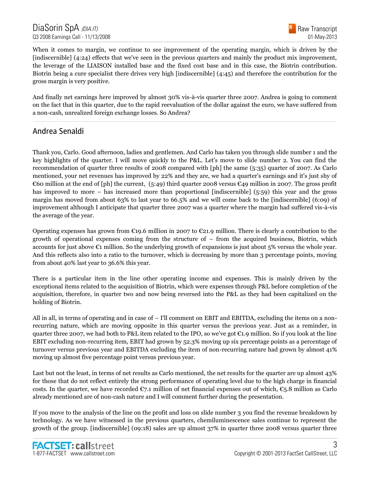When it comes to margin, we continue to see improvement of the operating margin, which is driven by the [indiscernible] (4:24) effects that we've seen in the previous quarters and mainly the product mix improvement, the leverage of the LIAISON installed base and the fixed cost base and in this case, the Biotrin contribution. Biotrin being a cure specialist there drives very high [indiscernible] (4:45) and therefore the contribution for the gross margin is very positive.

And finally net earnings here improved by almost 30% vis-à-vis quarter three 2007. Andrea is going to comment on the fact that in this quarter, due to the rapid reevaluation of the dollar against the euro, we have suffered from a non-cash, unrealized foreign exchange losses. So Andrea?

......................................................................................................................................................................................................................................................

#### Andrea Senaldi

Thank you, Carlo. Good afternoon, ladies and gentlemen. And Carlo has taken you through slide number 1 and the key highlights of the quarter. I will move quickly to the P&L. Let's move to slide number 2. You can find the recommendation of quarter three results of 2008 compared with [ph] the same (5:35) quarter of 2007. As Carlo mentioned, your net revenues has improved by 22% and they are, we had a quarter's earnings and it's just shy of €60 million at the end of [ph] the current, (5:49) third quarter 2008 versus €49 million in 2007. The gross profit has improved to more – has increased more than proportional [indiscernible] (5:59) this year and the gross margin has moved from about 63% to last year to 66.5% and we will come back to the [indiscernible] (6:09) of improvement although I anticipate that quarter three 2007 was a quarter where the margin had suffered vis-à-vis the average of the year.

Operating expenses has grown from  $\epsilon$ 19.6 million in 2007 to  $\epsilon$ 21.9 million. There is clearly a contribution to the growth of operational expenses coming from the structure of – from the acquired business, Biotrin, which accounts for just above  $\epsilon_1$  million. So the underlying growth of expansions is just about 5% versus the whole year. And this reflects also into a ratio to the turnover, which is decreasing by more than 3 percentage points, moving from about 40% last year to 36.6% this year.

There is a particular item in the line other operating income and expenses. This is mainly driven by the exceptional items related to the acquisition of Biotrin, which were expenses through P&L before completion of the acquisition, therefore, in quarter two and now being reversed into the P&L as they had been capitalized on the holding of Biotrin.

All in all, in terms of operating and in case of – I'll comment on EBIT and EBITDA, excluding the items on a nonrecurring nature, which are moving opposite in this quarter versus the previous year. Just as a reminder, in quarter three 2007, we had both to P&L item related to the IPO, so we've got  $\epsilon_{1.9}$  million. So if you look at the line EBIT excluding non-recurring item, EBIT had grown by 52.3% moving up six percentage points as a percentage of turnover versus previous year and EBITDA excluding the item of non-recurring nature had grown by almost 41% moving up almost five percentage point versus previous year.

Last but not the least, in terms of net results as Carlo mentioned, the net results for the quarter are up almost 43% for those that do not reflect entirely the strong performance of operating level due to the high charge in financial costs. In the quarter, we have recorded  $\mathfrak{C}_7$ .1 million of net financial expenses out of which,  $\mathfrak{C}_5$ .8 million as Carlo already mentioned are of non-cash nature and I will comment further during the presentation.

If you move to the analysis of the line on the profit and loss on slide number 3 you find the revenue breakdown by technology. As we have witnessed in the previous quarters, chemiluminescence sales continue to represent the growth of the group. [indiscernible] (09:18) sales are up almost 37% in quarter three 2008 versus quarter three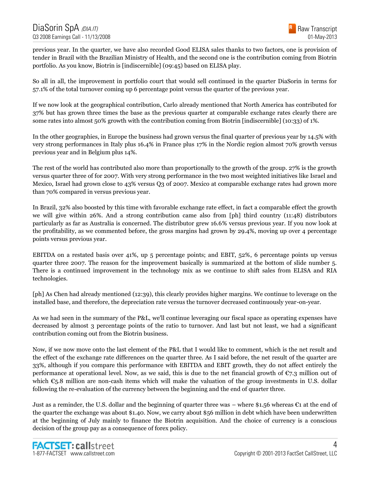previous year. In the quarter, we have also recorded Good ELISA sales thanks to two factors, one is provision of tender in Brazil with the Brazilian Ministry of Health, and the second one is the contribution coming from Biotrin portfolio. As you know, Biotrin is [indiscernible] (09:45) based on ELISA play.

So all in all, the improvement in portfolio court that would sell continued in the quarter DiaSorin in terms for 57.1% of the total turnover coming up 6 percentage point versus the quarter of the previous year.

If we now look at the geographical contribution, Carlo already mentioned that North America has contributed for 37% but has grown three times the base as the previous quarter at comparable exchange rates clearly there are some rates into almost 50% growth with the contribution coming from Biotrin [indiscernible] (10:33) of 1%.

In the other geographies, in Europe the business had grown versus the final quarter of previous year by 14.5% with very strong performances in Italy plus 16.4% in France plus 17% in the Nordic region almost 70% growth versus previous year and in Belgium plus 14%.

The rest of the world has contributed also more than proportionally to the growth of the group. 27% is the growth versus quarter three of for 2007. With very strong performance in the two most weighted initiatives like Israel and Mexico, Israel had grown close to 43% versus Q3 of 2007. Mexico at comparable exchange rates had grown more than 70% compared in versus previous year.

In Brazil, 32% also boosted by this time with favorable exchange rate effect, in fact a comparable effect the growth we will give within 26%. And a strong contribution came also from [ph] third country (11:48) distributors particularly as far as Australia is concerned. The distributor grew 16.6% versus previous year. If you now look at the profitability, as we commented before, the gross margins had grown by 29.4%, moving up over 4 percentage points versus previous year.

EBITDA on a restated basis over 41%, up 5 percentage points; and EBIT, 52%, 6 percentage points up versus quarter three 2007. The reason for the improvement basically is summarized at the bottom of slide number 5. There is a continued improvement in the technology mix as we continue to shift sales from ELISA and RIA technologies.

[ph] As Chen had already mentioned (12:39), this clearly provides higher margins. We continue to leverage on the installed base, and therefore, the depreciation rate versus the turnover decreased continuously year-on-year.

As we had seen in the summary of the P&L, we'll continue leveraging our fiscal space as operating expenses have decreased by almost 3 percentage points of the ratio to turnover. And last but not least, we had a significant contribution coming out from the Biotrin business.

Now, if we now move onto the last element of the P&L that I would like to comment, which is the net result and the effect of the exchange rate differences on the quarter three. As I said before, the net result of the quarter are 33%, although if you compare this performance with EBITDA and EBIT growth, they do not affect entirely the performance at operational level. Now, as we said, this is due to the net financial growth of  $\mathfrak{C}_{7,3}$  million out of which  $\epsilon$ <sub>5</sub>.8 million are non-cash items which will make the valuation of the group investments in U.S. dollar following the re-evaluation of the currency between the beginning and the end of quarter three.

Just as a reminder, the U.S. dollar and the beginning of quarter three was – where \$1.56 whereas €1 at the end of the quarter the exchange was about \$1.40. Now, we carry about \$56 million in debt which have been underwritten at the beginning of July mainly to finance the Biotrin acquisition. And the choice of currency is a conscious decision of the group pay as a consequence of forex policy.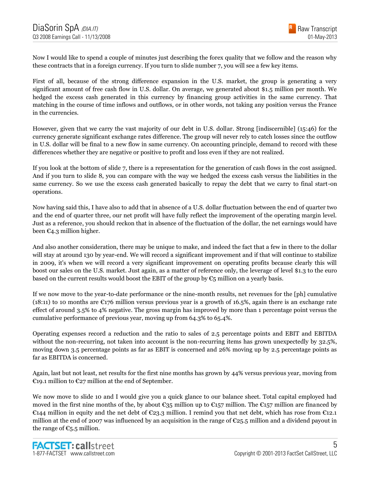Now I would like to spend a couple of minutes just describing the forex quality that we follow and the reason why these contracts that in a foreign currency. If you turn to slide number 7, you will see a few key items.

First of all, because of the strong difference expansion in the U.S. market, the group is generating a very significant amount of free cash flow in U.S. dollar. On average, we generated about \$1.5 million per month. We hedged the excess cash generated in this currency by financing group activities in the same currency. That matching in the course of time inflows and outflows, or in other words, not taking any position versus the France in the currencies.

However, given that we carry the vast majority of our debt in U.S. dollar. Strong [indiscernible] (15:46) for the currency generate significant exchange rates difference. The group will never rely to catch losses since the outflow in U.S. dollar will be final to a new flow in same currency. On accounting principle, demand to record with these differences whether they are negative or positive to profit and loss even if they are not realized.

If you look at the bottom of slide 7, there is a representation for the generation of cash flows in the cost assigned. And if you turn to slide 8, you can compare with the way we hedged the excess cash versus the liabilities in the same currency. So we use the excess cash generated basically to repay the debt that we carry to final start-on operations.

Now having said this, I have also to add that in absence of a U.S. dollar fluctuation between the end of quarter two and the end of quarter three, our net profit will have fully reflect the improvement of the operating margin level. Just as a reference, you should reckon that in absence of the fluctuation of the dollar, the net earnings would have been  $\epsilon_{4,3}$  million higher.

And also another consideration, there may be unique to make, and indeed the fact that a few in there to the dollar will stay at around 130 by year-end. We will record a significant improvement and if that will continue to stabilize in 2009, it's when we will record a very significant improvement on operating profits because clearly this will boost our sales on the U.S. market. Just again, as a matter of reference only, the leverage of level \$1.3 to the euro based on the current results would boost the EBIT of the group by  $\mathfrak{C}_5$  million on a yearly basis.

If we now move to the year-to-date performance or the nine-month results, net revenues for the [ph] cumulative (18:11) to 10 months are  $E176$  million versus previous year is a growth of 16.5%, again there is an exchange rate effect of around 3.5% to 4% negative. The gross margin has improved by more than 1 percentage point versus the cumulative performance of previous year, moving up from 64.3% to 65.4%.

Operating expenses record a reduction and the ratio to sales of 2.5 percentage points and EBIT and EBITDA without the non-recurring, not taken into account is the non-recurring items has grown unexpectedly by 32.5%, moving down 3.5 percentage points as far as EBIT is concerned and 26% moving up by 2.5 percentage points as far as EBITDA is concerned.

Again, last but not least, net results for the first nine months has grown by 44% versus previous year, moving from €19.1 million to €27 million at the end of September.

We now move to slide 10 and I would give you a quick glance to our balance sheet. Total capital employed had moved in the first nine months of the, by about €35 million up to €157 million. The €157 million are financed by €144 million in equity and the net debt of €23.3 million. I remind you that net debt, which has rose from €12.1 million at the end of 2007 was influenced by an acquisition in the range of  $\epsilon$ 25.5 million and a dividend payout in the range of  $\epsilon_{5.5}$  million.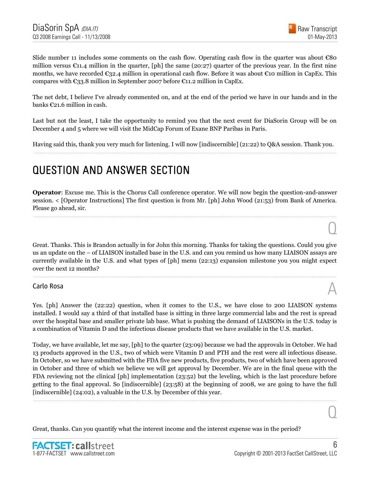$\overline{O}$ 

 $\overline{0}$ 

Slide number 11 includes some comments on the cash flow. Operating cash flow in the quarter was about €80 million versus  $\mathfrak{C}11.4$  million in the quarter, [ph] the same (20:27) quarter of the previous year. In the first nine months, we have recorded  $\epsilon_{32.4}$  million in operational cash flow. Before it was about  $\epsilon_{10}$  million in CapEx. This compares with  $\epsilon_{33}$ .8 million in September 2007 before  $\epsilon_{11}$ .2 million in CapEx.

The net debt, I believe I've already commented on, and at the end of the period we have in our hands and in the banks €21.6 million in cash.

Last but not the least, I take the opportunity to remind you that the next event for DiaSorin Group will be on December 4 and 5 where we will visit the MidCap Forum of Exane BNP Paribas in Paris.

Having said this, thank you very much for listening. I will now [indiscernible] (21:22) to Q&A session. Thank you. ......................................................................................................................................................................................................................................................

#### QUESTION AND ANSWER SECTION

**Operator**: Excuse me. This is the Chorus Call conference operator. We will now begin the question-and-answer session. < [Operator Instructions] The first question is from Mr. [ph] John Wood (21:53) from Bank of America. Please go ahead, sir.

......................................................................................................................................................................................................................................................

Great. Thanks. This is Brandon actually in for John this morning. Thanks for taking the questions. Could you give us an update on the – of LIAISON installed base in the U.S. and can you remind us how many LIAISON assays are currently available in the U.S. and what types of [ph] menu (22:13) expansion milestone you you might expect over the next 12 months?

......................................................................................................................................................................................................................................................

# Carlo Rosa  $\mathbb A$

Yes. [ph] Answer the (22:22) question, when it comes to the U.S., we have close to 200 LIAISON systems installed. I would say a third of that installed base is sitting in three large commercial labs and the rest is spread over the hospital base and smaller private lab base. What is pushing the demand of LIAISONs in the U.S. today is a combination of Vitamin D and the infectious disease products that we have available in the U.S. market.

Today, we have available, let me say, [ph] to the quarter (23:09) because we had the approvals in October. We had 13 products approved in the U.S., two of which were Vitamin D and PTH and the rest were all infectious disease. In October, so we have submitted with the FDA five new products, five products, two of which have been approved in October and three of which we believe we will get approval by December. We are in the final queue with the FDA reviewing not the clinical [ph] implementation (23:52) but the leveling, which is the last procedure before getting to the final approval. So [indiscernible] (23:58) at the beginning of 2008, we are going to have the full [indiscernible] (24:02), a valuable in the U.S. by December of this year.

......................................................................................................................................................................................................................................................

Great, thanks. Can you quantify what the interest income and the interest expense was in the period?

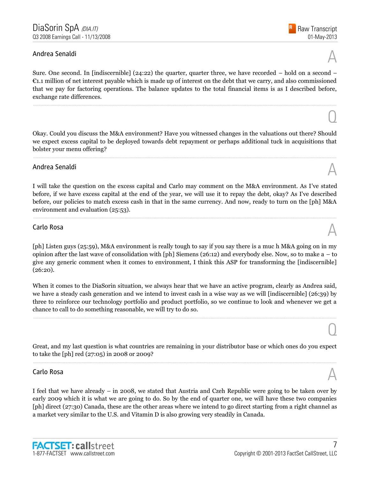# Andrea Senaldi  $\mathbb A$

Sure. One second. In [indiscernible] (24:22) the quarter, quarter three, we have recorded – hold on a second –  $\epsilon$ 1.1 million of net interest payable which is made up of interest on the debt that we carry, and also commissioned that we pay for factoring operations. The balance updates to the total financial items is as I described before, exchange rate differences.

......................................................................................................................................................................................................................................................

Okay. Could you discuss the M&A environment? Have you witnessed changes in the valuations out there? Should we expect excess capital to be deployed towards debt repayment or perhaps additional tuck in acquisitions that bolster your menu offering?

......................................................................................................................................................................................................................................................

# Andrea Senaldi  $\mathbb A$

I will take the question on the excess capital and Carlo may comment on the M&A environment. As I've stated before, if we have excess capital at the end of the year, we will use it to repay the debt, okay? As I've described before, our policies to match excess cash in that in the same currency. And now, ready to turn on the [ph] M&A environment and evaluation (25:53).

......................................................................................................................................................................................................................................................

# Carlo Rosa  $\mathbb A$

[ph] Listen guys (25:59), M&A environment is really tough to say if you say there is a muc h M&A going on in my opinion after the last wave of consolidation with [ph] Siemens (26:12) and everybody else. Now, so to make a – to give any generic comment when it comes to environment, I think this ASP for transforming the [indiscernible] (26:20).

When it comes to the DiaSorin situation, we always hear that we have an active program, clearly as Andrea said, we have a steady cash generation and we intend to invest cash in a wise way as we will [indiscernible] (26:39) by three to reinforce our technology portfolio and product portfolio, so we continue to look and whenever we get a chance to call to do something reasonable, we will try to do so.

......................................................................................................................................................................................................................................................

Great, and my last question is what countries are remaining in your distributor base or which ones do you expect to take the [ph] red (27:05) in 2008 or 2009? ......................................................................................................................................................................................................................................................

# Carlo Rosa  $\mathbb A$

I feel that we have already – in 2008, we stated that Austria and Czeh Republic were going to be taken over by early 2009 which it is what we are going to do. So by the end of quarter one, we will have these two companies [ph] direct (27:30) Canada, these are the other areas where we intend to go direct starting from a right channel as a market very similar to the U.S. and Vitamin D is also growing very steadily in Canada.



 $\overline{O}$ 

 $\overline{O}$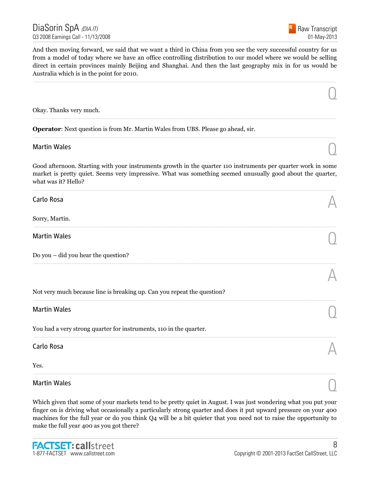

 $\overline{O}$ 

A

And then moving forward, we said that we want a third in China from you see the very successful country for us from a model of today where we have an office controlling distribution to our model where we would be selling direct in certain provinces mainly Beijing and Shanghai. And then the last geography mix in for us would be Australia which is in the point for 2010.

......................................................................................................................................................................................................................................................

......................................................................................................................................................................................................................................................

......................................................................................................................................................................................................................................................

Okay. Thanks very much.

**Operator**: Next question is from Mr. Martin Wales from UBS. Please go ahead, sir.

# Martin Wales  $\bigcirc$

Good afternoon. Starting with your instruments growth in the quarter 110 instruments per quarter work in some market is pretty quiet. Seems very impressive. What was something seemed unusually good about the quarter, what was it? Hello?

......................................................................................................................................................................................................................................................

......................................................................................................................................................................................................................................................

......................................................................................................................................................................................................................................................

......................................................................................................................................................................................................................................................

......................................................................................................................................................................................................................................................

......................................................................................................................................................................................................................................................

| Carlo Rosa | $\Delta$ |
|------------|----------|
|            |          |

Sorry, Martin.

Martin Wales  $\bigcirc$ 

Do you – did you hear the question?

Not very much because line is breaking up. Can you repeat the question?

# Martin Wales  $\bigcirc$

You had a very strong quarter for instruments, 110 in the quarter.

# Carlo Rosa  $\mathbb A$

Yes.

# Martin Wales  $\bigcirc$

Which given that some of your markets tend to be pretty quiet in August. I was just wondering what you put your finger on is driving what occasionally a particularly strong quarter and does it put upward pressure on your 400 machines for the full year or do you think Q4 will be a bit quieter that you need not to raise the opportunity to make the full year 400 as you got there?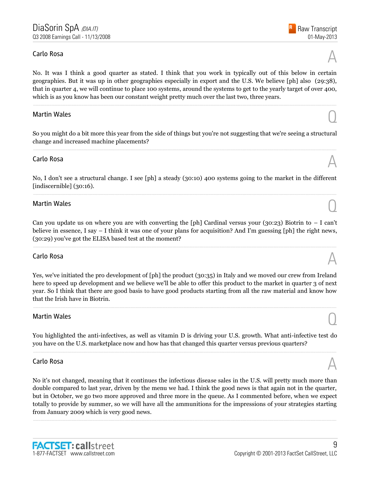# Carlo Rosa  $\mathbb A$

No. It was I think a good quarter as stated. I think that you work in typically out of this below in certain geographies. But it was up in other geographies especially in export and the U.S. We believe [ph] also (29:38), that in quarter 4, we will continue to place 100 systems, around the systems to get to the yearly target of over 400, which is as you know has been our constant weight pretty much over the last two, three years.

......................................................................................................................................................................................................................................................

# Martin Wales  $\bigcirc$

So you might do a bit more this year from the side of things but you're not suggesting that we're seeing a structural change and increased machine placements? ......................................................................................................................................................................................................................................................

# Carlo Rosa  $\mathbb A$

No, I don't see a structural change. I see [ph] a steady (30:10) 400 systems going to the market in the different [indiscernible] (30:16). ......................................................................................................................................................................................................................................................

# Martin Wales  $\bigcirc$

Can you update us on where you are with converting the [ph] Cardinal versus your (30:23) Biotrin to  $-$  I can't believe in essence, I say – I think it was one of your plans for acquisition? And I'm guessing [ph] the right news, (30:29) you've got the ELISA based test at the moment?

......................................................................................................................................................................................................................................................

# Carlo Rosa  $\mathbb A$

Yes, we've initiated the pro development of [ph] the product (30:35) in Italy and we moved our crew from Ireland here to speed up development and we believe we'll be able to offer this product to the market in quarter 3 of next year. So I think that there are good basis to have good products starting from all the raw material and know how that the Irish have in Biotrin.

......................................................................................................................................................................................................................................................

# Martin Wales  $\bigcirc$

You highlighted the anti-infectives, as well as vitamin D is driving your U.S. growth. What anti-infective test do you have on the U.S. marketplace now and how has that changed this quarter versus previous quarters? ......................................................................................................................................................................................................................................................

# Carlo Rosa  $\mathbb A$

1-877-FACTSET www.callstreet.com

**FACTSET: callstreet** 

No it's not changed, meaning that it continues the infectious disease sales in the U.S. will pretty much more than double compared to last year, driven by the menu we had. I think the good news is that again not in the quarter, but in October, we go two more approved and three more in the queue. As I commented before, when we expect totally to provide by summer, so we will have all the ammunitions for the impressions of your strategies starting from January 2009 which is very good news.

......................................................................................................................................................................................................................................................

Raw Transcript



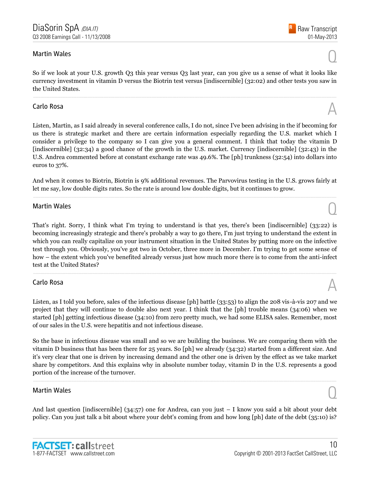# Martin Wales  $\bigcirc$

So if we look at your U.S. growth Q3 this year versus Q3 last year, can you give us a sense of what it looks like currency investment in vitamin D versus the Biotrin test versus [indiscernible] (32:02) and other tests you saw in the United States.

......................................................................................................................................................................................................................................................

# Carlo Rosa  $\mathbb A$

Listen, Martin, as I said already in several conference calls, I do not, since I've been advising in the if becoming for us there is strategic market and there are certain information especially regarding the U.S. market which I consider a privilege to the company so I can give you a general comment. I think that today the vitamin D [indiscernible] (32:34) a good chance of the growth in the U.S. market. Currency [indiscernible] (32:43) in the U.S. Andrea commented before at constant exchange rate was 49.6%. The [ph] trunkness (32:54) into dollars into euros to 37%.

And when it comes to Biotrin, Biotrin is 9% additional revenues. The Parvovirus testing in the U.S. grows fairly at let me say, low double digits rates. So the rate is around low double digits, but it continues to grow. ......................................................................................................................................................................................................................................................

# Martin Wales  $\bigcirc$

That's right. Sorry, I think what I'm trying to understand is that yes, there's been [indiscernible] (33:22) is becoming increasingly strategic and there's probably a way to go there, I'm just trying to understand the extent in which you can really capitalize on your instrument situation in the United States by putting more on the infective test through you. Obviously, you've got two in October, three more in December. I'm trying to get some sense of how – the extent which you've benefited already versus just how much more there is to come from the anti-infect test at the United States?

......................................................................................................................................................................................................................................................

# Carlo Rosa  $\mathbb A$

Listen, as I told you before, sales of the infectious disease [ph] battle (33:53) to align the 208 vis-à-vis 207 and we project that they will continue to double also next year. I think that the [ph] trouble means (34:06) when we started [ph] getting infectious disease (34:10) from zero pretty much, we had some ELISA sales. Remember, most of our sales in the U.S. were hepatitis and not infectious disease.

So the base in infectious disease was small and so we are building the business. We are comparing them with the vitamin D business that has been there for 25 years. So [ph] we already (34:32) started from a different size. And it's very clear that one is driven by increasing demand and the other one is driven by the effect as we take market share by competitors. And this explains why in absolute number today, vitamin D in the U.S. represents a good portion of the increase of the turnover.

......................................................................................................................................................................................................................................................

# Martin Wales  $\bigcirc$

And last question [indiscernible] (34:57) one for Andrea, can you just – I know you said a bit about your debt policy. Can you just talk a bit about where your debt's coming from and how long [ph] date of the debt (35:10) is?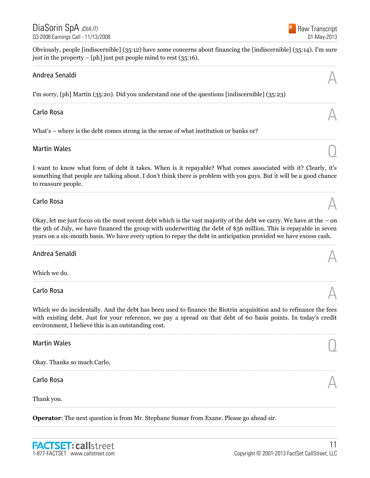Raw Transcript 01-May-2013

Obviously, people [indiscernible] (35:12) have some concerns about financing the [indiscernible] (35:14). I'm sure just in the property – [ph] just put people mind to rest (35:16). ......................................................................................................................................................................................................................................................

......................................................................................................................................................................................................................................................

......................................................................................................................................................................................................................................................

# Andrea Senaldi  $\mathbb A$

I'm sorry, [ph] Martin (35:20). Did you understand one of the questions [indiscernible] (35:23)

# Carlo Rosa  $\mathbb A$

What's – where is the debt comes strong in the sense of what institution or banks or?

# Martin Wales  $\bigcirc$

I want to know what form of debt it takes. When is it repayable? What comes associated with it? Clearly, it's something that people are talking about. I don't think there is problem with you guys. But it will be a good chance to reassure people.

......................................................................................................................................................................................................................................................

# Carlo Rosa  $\mathbb A$

Okay, let me just focus on the most recent debt which is the vast majority of the debt we carry. We have at the – on the 9th of July, we have financed the group with underwriting the debt of \$56 million. This is repayable in seven years on a six-month basis. We have every option to repay the debt in anticipation provided we have excess cash.

......................................................................................................................................................................................................................................................

......................................................................................................................................................................................................................................................

# Andrea Senaldi  $\mathbb A$

Which we do.

# Carlo Rosa  $\mathbb A$

Which we do incidentally. And the debt has been used to finance the Biotrin acquisition and to refinance the fees with existing debt. Just for your reference, we pay a spread on that debt of 60 basis points. In today's credit environment, I believe this is an outstanding cost.

......................................................................................................................................................................................................................................................

......................................................................................................................................................................................................................................................

......................................................................................................................................................................................................................................................

# Martin Wales  $\bigcirc$

Okay. Thanks so much Carlo.

# Carlo Rosa  $\mathbb A$

Thank you.

**Operator**: The next question is from Mr. Stephane Sumar from Exane. Please go ahead sir.





#### ......................................................................................................................................................................................................................................................



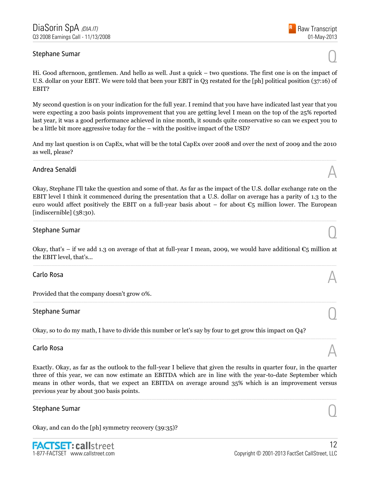# Stephane Sumar  $\bigcirc$

01-May-2013

Raw Transcript

Hi. Good afternoon, gentlemen. And hello as well. Just a quick – two questions. The first one is on the impact of U.S. dollar on your EBIT. We were told that been your EBIT in Q3 restated for the [ph] political position (37:16) of EBIT?

My second question is on your indication for the full year. I remind that you have have indicated last year that you were expecting a 200 basis points improvement that you are getting level I mean on the top of the 25% reported last year, it was a good performance achieved in nine month, it sounds quite conservative so can we expect you to be a little bit more aggressive today for the – with the positive impact of the USD?

And my last question is on CapEx, what will be the total CapEx over 2008 and over the next of 2009 and the 2010 as well, please? ......................................................................................................................................................................................................................................................

# Andrea Senaldi  $\mathbb A$

Okay, Stephane I'll take the question and some of that. As far as the impact of the U.S. dollar exchange rate on the EBIT level I think it commenced during the presentation that a U.S. dollar on average has a parity of 1.3 to the euro would affect positively the EBIT on a full-year basis about – for about  $\mathfrak{C}_5$  million lower. The European [indiscernible] (38:30).

......................................................................................................................................................................................................................................................

# Stephane Sumar  $\bigcirc$

Okay, that's – if we add 1.3 on average of that at full-year I mean, 2009, we would have additional  $\epsilon_5$  million at the EBIT level, that's... ......................................................................................................................................................................................................................................................

......................................................................................................................................................................................................................................................

# Carlo Rosa  $\mathbb A$

Provided that the company doesn't grow 0%.

# Stephane Sumar  $\bigcirc$

Okay, so to do my math, I have to divide this number or let's say by four to get grow this impact on Q4?

# Carlo Rosa  $\mathbb A$

Exactly. Okay, as far as the outlook to the full-year I believe that given the results in quarter four, in the quarter three of this year, we can now estimate an EBITDA which are in line with the year-to-date September which means in other words, that we expect an EBITDA on average around 35% which is an improvement versus previous year by about 300 basis points.

# Stephane Sumar  $\bigcirc$

Okay, and can do the [ph] symmetry recovery (39:35)?





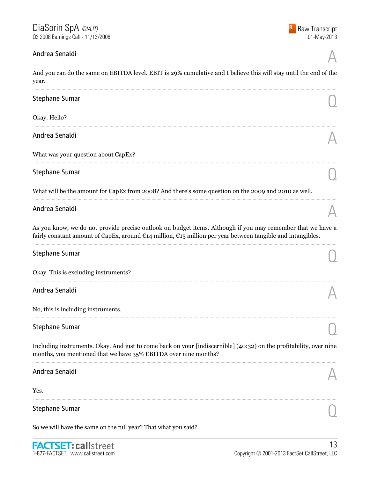#### Andrea Senaldi

And you can do the same on EBITDA level. EBIT is 29% cumulative and I believe this will stay until the end of the year.

| <b>Stephane Sumar</b>                                                                                                                                                                                                                                |  |
|------------------------------------------------------------------------------------------------------------------------------------------------------------------------------------------------------------------------------------------------------|--|
| Okay. Hello?                                                                                                                                                                                                                                         |  |
| Andrea Senaldi                                                                                                                                                                                                                                       |  |
| What was your question about CapEx?                                                                                                                                                                                                                  |  |
| <b>Stephane Sumar</b>                                                                                                                                                                                                                                |  |
| What will be the amount for CapEx from 2008? And there's some question on the 2009 and 2010 as well.                                                                                                                                                 |  |
| Andrea Senaldi                                                                                                                                                                                                                                       |  |
| As you know, we do not provide precise outlook on budget items. Although if you may remember that we have a<br>fairly constant amount of CapEx, around $\mathfrak{C}14$ million, $\mathfrak{C}15$ million per year between tangible and intangibles. |  |
| <b>Stephane Sumar</b>                                                                                                                                                                                                                                |  |
| Okay. This is excluding instruments?                                                                                                                                                                                                                 |  |
| Andrea Senaldi                                                                                                                                                                                                                                       |  |
| No, this is including instruments.                                                                                                                                                                                                                   |  |
| <b>Stephane Sumar</b>                                                                                                                                                                                                                                |  |
| Including instruments. Okay. And just to come back on your [indiscernible] (40:32) on the profitability, over nine<br>months, you mentioned that we have 35% EBITDA over nine months?                                                                |  |
| Andrea Senaldi                                                                                                                                                                                                                                       |  |
| Yes.                                                                                                                                                                                                                                                 |  |

Stephane Sumar

So we will have the same on the full year? That what you said?

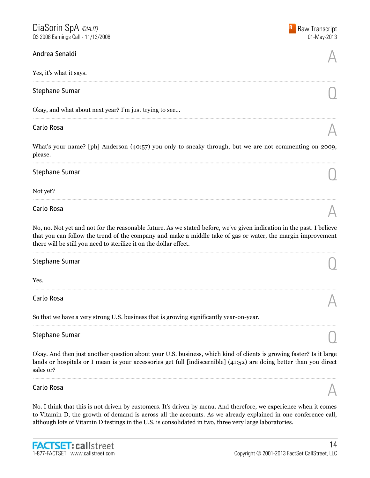# Andrea Senaldi  $\mathbb A$

Yes, it's what it says.

# Stephane Sumar  $\bigcirc$

Okay, and what about next year? I'm just trying to see...

# Carlo Rosa  $\mathbb A$

What's your name? [ph] Anderson (40:57) you only to sneaky through, but we are not commenting on 2009, please. ......................................................................................................................................................................................................................................................

......................................................................................................................................................................................................................................................

......................................................................................................................................................................................................................................................

# Stephane Sumar  $\bigcirc$

Not yet?

# Carlo Rosa  $\mathbb A$

No, no. Not yet and not for the reasonable future. As we stated before, we've given indication in the past. I believe that you can follow the trend of the company and make a middle take of gas or water, the margin improvement there will be still you need to sterilize it on the dollar effect.

......................................................................................................................................................................................................................................................

......................................................................................................................................................................................................................................................

......................................................................................................................................................................................................................................................

......................................................................................................................................................................................................................................................

# Stephane Sumar  $\bigcirc$

Yes.

# Carlo Rosa  $\mathbb A$

So that we have a very strong U.S. business that is growing significantly year-on-year.

# Stephane Sumar  $\bigcirc$

Okay. And then just another question about your U.S. business, which kind of clients is growing faster? Is it large lands or hospitals or I mean is your accessories get full [indiscernible] (41:52) are doing better than you direct sales or?

......................................................................................................................................................................................................................................................

# Carlo Rosa  $\mathbb A$

No. I think that this is not driven by customers. It's driven by menu. And therefore, we experience when it comes to Vitamin D, the growth of demand is across all the accounts. As we already explained in one conference call, although lots of Vitamin D testings in the U.S. is consolidated in two, three very large laboratories.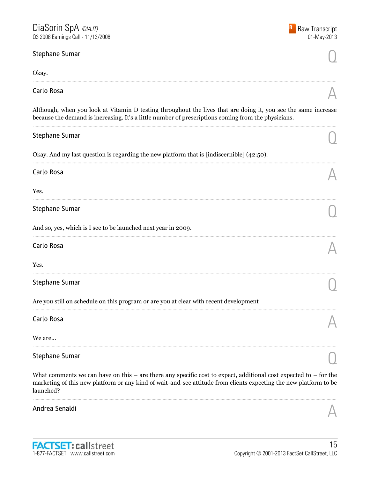| <b>Stephane Sumar</b>                                                                                                                                                                                                                 |  |
|---------------------------------------------------------------------------------------------------------------------------------------------------------------------------------------------------------------------------------------|--|
| Okay.                                                                                                                                                                                                                                 |  |
| Carlo Rosa                                                                                                                                                                                                                            |  |
| Although, when you look at Vitamin D testing throughout the lives that are doing it, you see the same increase<br>because the demand is increasing. It's a little number of prescriptions coming from the physicians.                 |  |
| Stephane Sumar                                                                                                                                                                                                                        |  |
| Okay. And my last question is regarding the new platform that is [indiscernible] $(42:50)$ .                                                                                                                                          |  |
| Carlo Rosa                                                                                                                                                                                                                            |  |
| Yes.                                                                                                                                                                                                                                  |  |
| <b>Stephane Sumar</b>                                                                                                                                                                                                                 |  |
| And so, yes, which is I see to be launched next year in 2009.                                                                                                                                                                         |  |
| Carlo Rosa                                                                                                                                                                                                                            |  |
| Yes.                                                                                                                                                                                                                                  |  |
| <b>Stephane Sumar</b>                                                                                                                                                                                                                 |  |
| Are you still on schedule on this program or are you at clear with recent development                                                                                                                                                 |  |
| Carlo Rosa                                                                                                                                                                                                                            |  |
| We are                                                                                                                                                                                                                                |  |
| Stephane Sumar                                                                                                                                                                                                                        |  |
| What comments we can have on this – are there any specific cost to expect, additional cost expected to – for the<br>marketing of this new platform or any kind of wait-and-see attitude from clients expecting the new platform to be |  |

Andrea Senaldi

launched?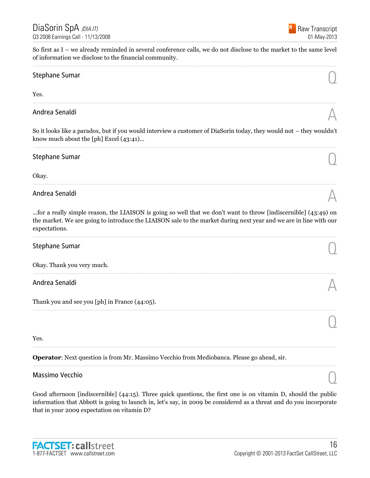So first as I – we already reminded in several conference calls, we do not disclose to the market to the same level of information we disclose to the financial community. ......................................................................................................................................................................................................................................................

# Stephane Sumar  $\bigcirc$

Yes.

# Andrea Senaldi  $\mathbb A$

So it looks like a paradox, but if you would interview a customer of DiaSorin today, they would not – they wouldn't know much about the [ph] Excel (43:41)... ......................................................................................................................................................................................................................................................

......................................................................................................................................................................................................................................................

# Stephane Sumar  $\bigcirc$

Okay.

# Andrea Senaldi  $\mathbb A$

...for a really simple reason, the LIAISON is going so well that we don't want to throw [indiscernible] (43:49) on the market. We are going to introduce the LIAISON sale to the market during next year and we are in line with our expectations.

......................................................................................................................................................................................................................................................

......................................................................................................................................................................................................................................................

......................................................................................................................................................................................................................................................

# Stephane Sumar  $\bigcirc$

Okay. Thank you very much.

# Andrea Senaldi  $\mathbb A$

Thank you and see you [ph] in France (44:05).

Yes.

#### **Operator**: Next question is from Mr. Massimo Vecchio from Mediobanca. Please go ahead, sir.

# Massimo Vecchio Quanti all'estimato di un controllo di un controllo di un controllo di un controllo di un controllo di un controllo di un controllo di un controllo di un controllo di un controllo di un controllo di un cont

Good afternoon [indiscernible] (44:15). Three quick questions, the first one is on vitamin D, should the public information that Abbott is going to launch in, let's say, in 2009 be considered as a threat and do you incorporate that in your 2009 expectation on vitamin D?

......................................................................................................................................................................................................................................................

......................................................................................................................................................................................................................................................





......................................................................................................................................................................................................................................................  $\overline{O}$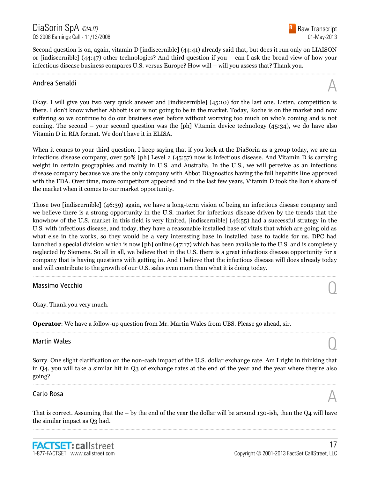Second question is on, again, vitamin D [indiscernible] (44:41) already said that, but does it run only on LIAISON or [indiscernible] (44:47) other technologies? And third question if you – can I ask the broad view of how your infectious disease business compares U.S. versus Europe? How will – will you assess that? Thank you.

......................................................................................................................................................................................................................................................

# Andrea Senaldi  $\mathbb A$

Okay. I will give you two very quick answer and [indiscernible] (45:10) for the last one. Listen, competition is there. I don't know whether Abbott is or is not going to be in the market. Today, Roche is on the market and now suffering so we continue to do our business ever before without worrying too much on who's coming and is not coming. The second – your second question was the [ph] Vitamin device technology (45:34), we do have also Vitamin D in RIA format. We don't have it in ELISA.

When it comes to your third question, I keep saying that if you look at the DiaSorin as a group today, we are an infectious disease company, over 50% [ph] Level 2 (45:57) now is infectious disease. And Vitamin D is carrying weight in certain geographies and mainly in U.S. and Australia. In the U.S., we will perceive as an infectious disease company because we are the only company with Abbot Diagnostics having the full hepatitis line approved with the FDA. Over time, more competitors appeared and in the last few years, Vitamin D took the lion's share of the market when it comes to our market opportunity.

Those two [indiscernible] (46:39) again, we have a long-term vision of being an infectious disease company and we believe there is a strong opportunity in the U.S. market for infectious disease driven by the trends that the knowhow of the U.S. market in this field is very limited, [indiscernible] (46:55) had a successful strategy in the U.S. with infectious disease, and today, they have a reasonable installed base of vitals that which are going old as what else in the works, so they would be a very interesting base in installed base to tackle for us. DPC had launched a special division which is now [ph] online (47:17) which has been available to the U.S. and is completely neglected by Siemens. So all in all, we believe that in the U.S. there is a great infectious disease opportunity for a company that is having questions with getting in. And I believe that the infectious disease will does already today and will contribute to the growth of our U.S. sales even more than what it is doing today.

......................................................................................................................................................................................................................................................

......................................................................................................................................................................................................................................................

......................................................................................................................................................................................................................................................

# Massimo Vecchio Quando de Santo Constituito de Santo Constituito de Santo Constituito de Santo Constituito de S<br>O constituito de Santo Constituito de Santo Constituito de Santo Constituito de Santo Constituito de Santo Con

Okay. Thank you very much.

**Operator**: We have a follow-up question from Mr. Martin Wales from UBS. Please go ahead, sir.

# Martin Wales  $\bigcirc$

Sorry. One slight clarification on the non-cash impact of the U.S. dollar exchange rate. Am I right in thinking that in Q4, you will take a similar hit in Q3 of exchange rates at the end of the year and the year where they're also going?

......................................................................................................................................................................................................................................................

# Carlo Rosa  $\mathbb A$

That is correct. Assuming that the – by the end of the year the dollar will be around 130-ish, then the Q4 will have the similar impact as Q3 had. ......................................................................................................................................................................................................................................................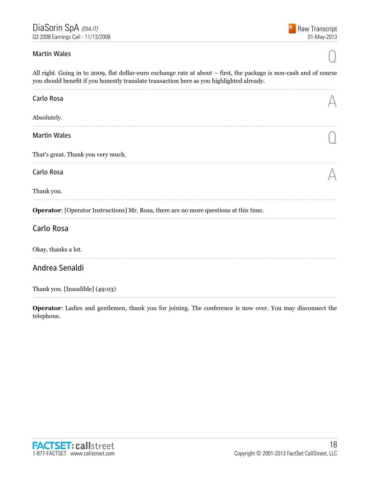#### **Martin Wales**

All right. Going in to 2009, flat dollar-euro exchange rate at about – first, the package is non-cash and of course you should benefit if you honestly translate transaction here as you highlighted already.

| Carlo Rosa                                                                                   |  |
|----------------------------------------------------------------------------------------------|--|
| Absolutely.                                                                                  |  |
| <b>Martin Wales</b>                                                                          |  |
| That's great. Thank you very much.                                                           |  |
| Carlo Rosa                                                                                   |  |
| Thank you.                                                                                   |  |
| <b>Operator:</b> [Operator Instructions] Mr. Rosa, there are no more questions at this time. |  |
| Carlo Rosa                                                                                   |  |
| Okay, thanks a lot.                                                                          |  |
| Andrea Senaldi                                                                               |  |

Thank you. [Inaudible] (49:03)

Operator: Ladies and gentlemen, thank you for joining. The conference is now over. You may disconnect the telephone.